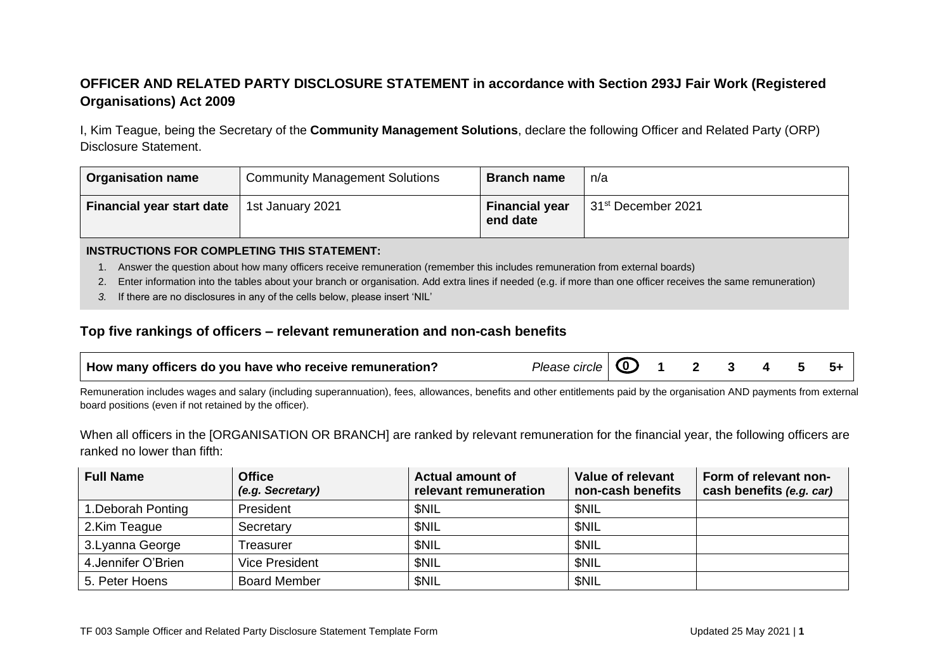## **OFFICER AND RELATED PARTY DISCLOSURE STATEMENT in accordance with Section 293J Fair Work (Registered Organisations) Act 2009**

I, Kim Teague, being the Secretary of the **Community Management Solutions**, declare the following Officer and Related Party (ORP) Disclosure Statement.

| <b>Organisation name</b>         | <b>Community Management Solutions</b> | <b>Branch name</b>                | n/a                            |
|----------------------------------|---------------------------------------|-----------------------------------|--------------------------------|
| <b>Financial year start date</b> | 1st January 2021                      | <b>Financial year</b><br>end date | 31 <sup>st</sup> December 2021 |

#### **INSTRUCTIONS FOR COMPLETING THIS STATEMENT:**

- 1. Answer the question about how many officers receive remuneration (remember this includes remuneration from external boards)
- 2. Enter information into the tables about your branch or organisation. Add extra lines if needed (e.g. if more than one officer receives the same remuneration)
- *3.* If there are no disclosures in any of the cells below, please insert 'NIL'

### **Top five rankings of officers – relevant remuneration and non-cash benefits**

| How many officers do you have who receive remuneration? | Please circle $\bigcirc$ 1 2 3 4 5 5+ |  |  |  |  |  |  |
|---------------------------------------------------------|---------------------------------------|--|--|--|--|--|--|
|---------------------------------------------------------|---------------------------------------|--|--|--|--|--|--|

Remuneration includes wages and salary (including superannuation), fees, allowances, benefits and other entitlements paid by the organisation AND payments from external board positions (even if not retained by the officer).

When all officers in the [ORGANISATION OR BRANCH] are ranked by relevant remuneration for the financial year, the following officers are ranked no lower than fifth:

| <b>Full Name</b>    | <b>Office</b><br>(e.g. Secretary) | <b>Actual amount of</b><br>relevant remuneration | <b>Value of relevant</b><br>non-cash benefits | Form of relevant non-<br>cash benefits (e.g. car) |
|---------------------|-----------------------------------|--------------------------------------------------|-----------------------------------------------|---------------------------------------------------|
| 1. Deborah Ponting  | President                         | <b>SNIL</b>                                      | <b>SNIL</b>                                   |                                                   |
| 2.Kim Teague        | Secretary                         | <b>SNIL</b>                                      | <b>SNIL</b>                                   |                                                   |
| 3. Lyanna George    | Treasurer                         | <b>SNIL</b>                                      | <b>SNIL</b>                                   |                                                   |
| 4. Jennifer O'Brien | <b>Vice President</b>             | <b>SNIL</b>                                      | <b>SNIL</b>                                   |                                                   |
| 5. Peter Hoens      | <b>Board Member</b>               | <b>SNIL</b>                                      | <b>SNIL</b>                                   |                                                   |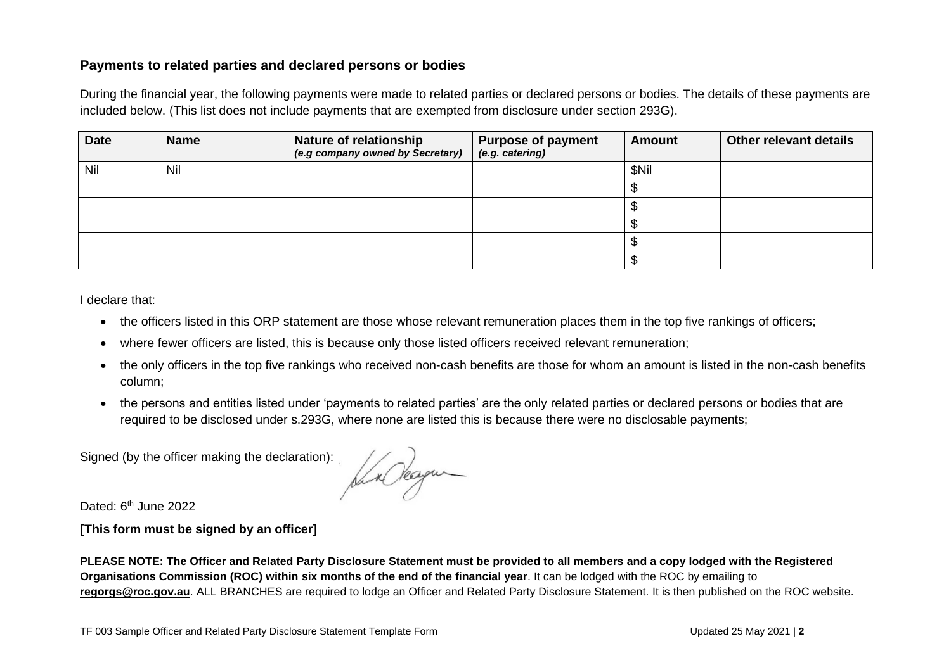### **Payments to related parties and declared persons or bodies**

During the financial year, the following payments were made to related parties or declared persons or bodies. The details of these payments are included below. (This list does not include payments that are exempted from disclosure under section 293G).

| <b>Date</b> | <b>Name</b> | <b>Nature of relationship</b><br>(e.g company owned by Secretary) | <b>Purpose of payment</b><br>(e.g. catering) | <b>Amount</b> | Other relevant details |
|-------------|-------------|-------------------------------------------------------------------|----------------------------------------------|---------------|------------------------|
| Nil         | Nil         |                                                                   |                                              | \$Nil         |                        |
|             |             |                                                                   |                                              |               |                        |
|             |             |                                                                   |                                              |               |                        |
|             |             |                                                                   |                                              |               |                        |
|             |             |                                                                   |                                              |               |                        |
|             |             |                                                                   |                                              |               |                        |

I declare that:

- the officers listed in this ORP statement are those whose relevant remuneration places them in the top five rankings of officers;
- where fewer officers are listed, this is because only those listed officers received relevant remuneration;
- the only officers in the top five rankings who received non-cash benefits are those for whom an amount is listed in the non-cash benefits column;
- the persons and entities listed under 'payments to related parties' are the only related parties or declared persons or bodies that are required to be disclosed under s.293G, where none are listed this is because there were no disclosable payments;

Signed (by the officer making the declaration):

Ka Okagan

Dated: 6<sup>th</sup> June 2022

**[This form must be signed by an officer]**

**PLEASE NOTE: The Officer and Related Party Disclosure Statement must be provided to all members and a copy lodged with the Registered Organisations Commission (ROC) within six months of the end of the financial year**. It can be lodged with the ROC by emailing to **[regorgs@roc.gov.au](mailto:regorgs@roc.gov.au)**. ALL BRANCHES are required to lodge an Officer and Related Party Disclosure Statement. It is then published on the ROC website.